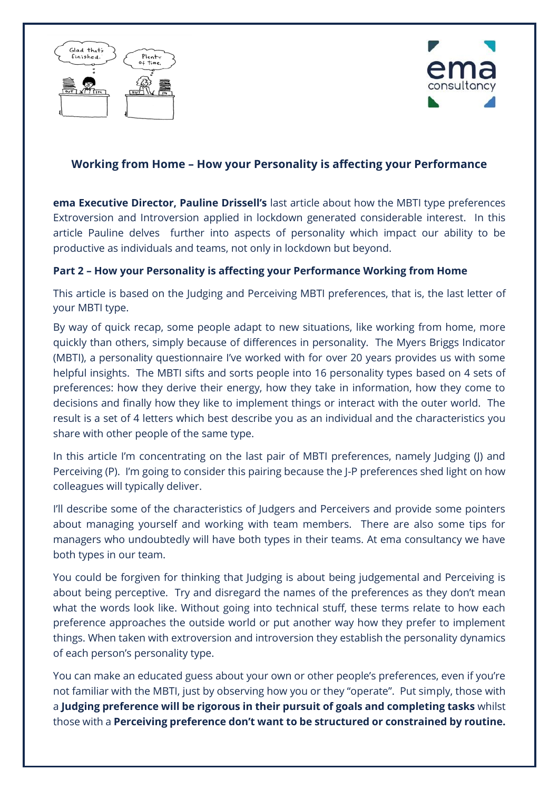



# **Working from Home – How your Personality is affecting your Performance**

**ema Executive Director, Pauline Drissell's** last article about how the MBTI type preferences Extroversion and Introversion applied in lockdown generated considerable interest. In this article Pauline delves further into aspects of personality which impact our ability to be productive as individuals and teams, not only in lockdown but beyond.

# **Part 2 – How your Personality is affecting your Performance Working from Home**

This article is based on the Judging and Perceiving MBTI preferences, that is, the last letter of your MBTI type.

By way of quick recap, some people adapt to new situations, like working from home, more quickly than others, simply because of differences in personality. The Myers Briggs Indicator (MBTI), a personality questionnaire I've worked with for over 20 years provides us with some helpful insights. The MBTI sifts and sorts people into 16 personality types based on 4 sets of preferences: how they derive their energy, how they take in information, how they come to decisions and finally how they like to implement things or interact with the outer world. The result is a set of 4 letters which best describe you as an individual and the characteristics you share with other people of the same type.

In this article I'm concentrating on the last pair of MBTI preferences, namely Judging (J) and Perceiving (P). I'm going to consider this pairing because the J-P preferences shed light on how colleagues will typically deliver.

I'll describe some of the characteristics of Judgers and Perceivers and provide some pointers about managing yourself and working with team members. There are also some tips for managers who undoubtedly will have both types in their teams. At ema consultancy we have both types in our team.

You could be forgiven for thinking that Judging is about being judgemental and Perceiving is about being perceptive. Try and disregard the names of the preferences as they don't mean what the words look like. Without going into technical stuff, these terms relate to how each preference approaches the outside world or put another way how they prefer to implement things. When taken with extroversion and introversion they establish the personality dynamics of each person's personality type.

You can make an educated guess about your own or other people's preferences, even if you're not familiar with the MBTI, just by observing how you or they "operate". Put simply, those with a **Judging preference will be rigorous in their pursuit of goals and completing tasks** whilst those with a **Perceiving preference don't want to be structured or constrained by routine.**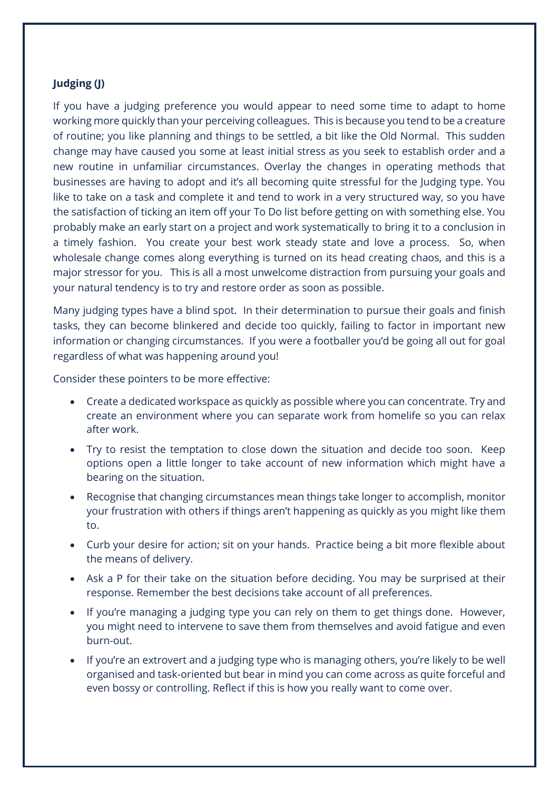### **Judging (J)**

If you have a judging preference you would appear to need some time to adapt to home working more quickly than your perceiving colleagues. This is because you tend to be a creature of routine; you like planning and things to be settled, a bit like the Old Normal. This sudden change may have caused you some at least initial stress as you seek to establish order and a new routine in unfamiliar circumstances. Overlay the changes in operating methods that businesses are having to adopt and it's all becoming quite stressful for the Judging type. You like to take on a task and complete it and tend to work in a very structured way, so you have the satisfaction of ticking an item off your To Do list before getting on with something else. You probably make an early start on a project and work systematically to bring it to a conclusion in a timely fashion. You create your best work steady state and love a process. So, when wholesale change comes along everything is turned on its head creating chaos, and this is a major stressor for you. This is all a most unwelcome distraction from pursuing your goals and your natural tendency is to try and restore order as soon as possible.

Many judging types have a blind spot. In their determination to pursue their goals and finish tasks, they can become blinkered and decide too quickly, failing to factor in important new information or changing circumstances. If you were a footballer you'd be going all out for goal regardless of what was happening around you!

Consider these pointers to be more effective:

- Create a dedicated workspace as quickly as possible where you can concentrate. Try and create an environment where you can separate work from homelife so you can relax after work.
- Try to resist the temptation to close down the situation and decide too soon. Keep options open a little longer to take account of new information which might have a bearing on the situation.
- Recognise that changing circumstances mean things take longer to accomplish, monitor your frustration with others if things aren't happening as quickly as you might like them to.
- Curb your desire for action; sit on your hands. Practice being a bit more flexible about the means of delivery.
- Ask a P for their take on the situation before deciding. You may be surprised at their response. Remember the best decisions take account of all preferences.
- If you're managing a judging type you can rely on them to get things done. However, you might need to intervene to save them from themselves and avoid fatigue and even burn-out.
- If you're an extrovert and a judging type who is managing others, you're likely to be well organised and task-oriented but bear in mind you can come across as quite forceful and even bossy or controlling. Reflect if this is how you really want to come over.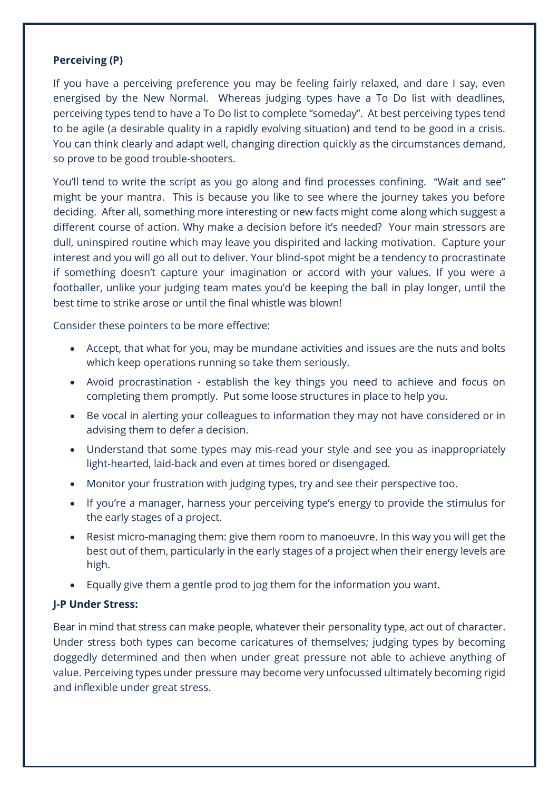## **Perceiving (P)**

If you have a perceiving preference you may be feeling fairly relaxed, and dare I say, even energised by the New Normal. Whereas judging types have a To Do list with deadlines, perceiving types tend to have a To Do list to complete "someday". At best perceiving types tend to be agile (a desirable quality in a rapidly evolving situation) and tend to be good in a crisis. You can think clearly and adapt well, changing direction quickly as the circumstances demand, so prove to be good trouble-shooters.

You'll tend to write the script as you go along and find processes confining. "Wait and see" might be your mantra. This is because you like to see where the journey takes you before deciding. After all, something more interesting or new facts might come along which suggest a different course of action. Why make a decision before it's needed? Your main stressors are dull, uninspired routine which may leave you dispirited and lacking motivation. Capture your interest and you will go all out to deliver. Your blind-spot might be a tendency to procrastinate if something doesn't capture your imagination or accord with your values. If you were a footballer, unlike your judging team mates you'd be keeping the ball in play longer, until the best time to strike arose or until the final whistle was blown!

Consider these pointers to be more effective:

- Accept, that what for you, may be mundane activities and issues are the nuts and bolts which keep operations running so take them seriously.
- Avoid procrastination establish the key things you need to achieve and focus on completing them promptly. Put some loose structures in place to help you.
- Be vocal in alerting your colleagues to information they may not have considered or in advising them to defer a decision.
- Understand that some types may mis-read your style and see you as inappropriately light-hearted, laid-back and even at times bored or disengaged.
- Monitor your frustration with judging types, try and see their perspective too.
- If you're a manager, harness your perceiving type's energy to provide the stimulus for the early stages of a project.
- Resist micro-managing them: give them room to manoeuvre. In this way you will get the best out of them, particularly in the early stages of a project when their energy levels are high.
- Equally give them a gentle prod to jog them for the information you want.

## **J-P Under Stress:**

Bear in mind that stress can make people, whatever their personality type, act out of character. Under stress both types can become caricatures of themselves; judging types by becoming doggedly determined and then when under great pressure not able to achieve anything of value. Perceiving types under pressure may become very unfocussed ultimately becoming rigid and inflexible under great stress.